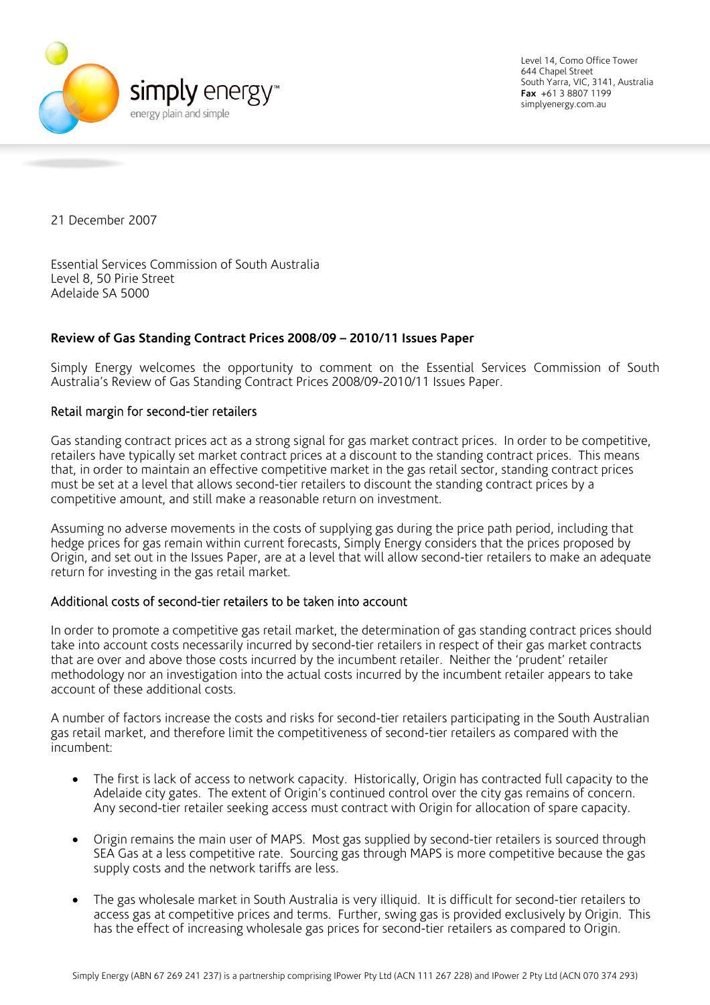

Level 14, Como Office Tower 644 Chapel Street South Yarra, VIC, 3141, Australia **Fax** +61 3 8807 1199 simplyenergy.com.au

21 December 2007

Essential Services Commission of South Australia Level 8, 50 Pirie Street Adelaide SA 5000

## **Review of Gas Standing Contract Prices 2008/09 – 2010/11 Issues Paper**

Simply Energy welcomes the opportunity to comment on the Essential Services Commission of South Australia's Review of Gas Standing Contract Prices 2008/09-2010/11 Issues Paper.

## Retail margin for second-tier retailers

Gas standing contract prices act as a strong signal for gas market contract prices. In order to be competitive, retailers have typically set market contract prices at a discount to the standing contract prices. This means that, in order to maintain an effective competitive market in the gas retail sector, standing contract prices must be set at a level that allows second-tier retailers to discount the standing contract prices by a competitive amount, and still make a reasonable return on investment.

Assuming no adverse movements in the costs of supplying gas during the price path period, including that hedge prices for gas remain within current forecasts, Simply Energy considers that the prices proposed by Origin, and set out in the Issues Paper, are at a level that will allow second-tier retailers to make an adequate return for investing in the gas retail market.

## Additional costs of second-tier retailers to be taken into account

In order to promote a competitive gas retail market, the determination of gas standing contract prices should take into account costs necessarily incurred by second-tier retailers in respect of their gas market contracts that are over and above those costs incurred by the incumbent retailer. Neither the 'prudent' retailer methodology nor an investigation into the actual costs incurred by the incumbent retailer appears to take account of these additional costs.

A number of factors increase the costs and risks for second-tier retailers participating in the South Australian gas retail market, and therefore limit the competitiveness of second-tier retailers as compared with the incumbent:

- The first is lack of access to network capacity. Historically, Origin has contracted full capacity to the Adelaide city gates. The extent of Origin's continued control over the city gas remains of concern. Any second-tier retailer seeking access must contract with Origin for allocation of spare capacity.
- Origin remains the main user of MAPS. Most gas supplied by second-tier retailers is sourced through SEA Gas at a less competitive rate. Sourcing gas through MAPS is more competitive because the gas supply costs and the network tariffs are less.
- The gas wholesale market in South Australia is very illiquid. It is difficult for second-tier retailers to access gas at competitive prices and terms. Further, swing gas is provided exclusively by Origin. This has the effect of increasing wholesale gas prices for second-tier retailers as compared to Origin.